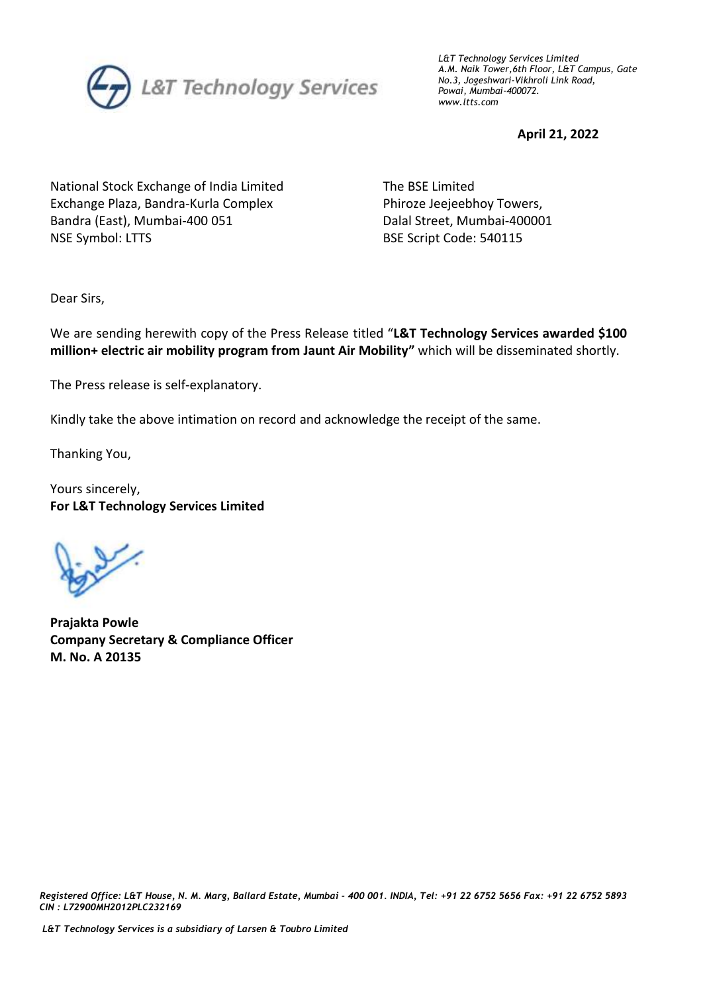

*L&T Technology Services Limited A.M. Naik Tower,6th Floor, L&T Campus, Gate No.3, Jogeshwari-Vikhroli Link Road, Powai, Mumbai-400072. www.ltts.com*

**April 21, 2022**

National Stock Exchange of India Limited Exchange Plaza, Bandra-Kurla Complex Bandra (East), Mumbai-400 051 NSE Symbol: LTTS

 The BSE Limited Phiroze Jeejeebhoy Towers, Dalal Street, Mumbai-400001 BSE Script Code: 540115

Dear Sirs,

We are sending herewith copy of the Press Release titled "**L&T Technology Services awarded \$100 million+ electric air mobility program from Jaunt Air Mobility"** which will be disseminated shortly.

The Press release is self-explanatory.

Kindly take the above intimation on record and acknowledge the receipt of the same.

Thanking You,

Yours sincerely, **For L&T Technology Services Limited**

**Prajakta Powle Company Secretary & Compliance Officer M. No. A 20135**

 *Registered Office: L&T House, N. M. Marg, Ballard Estate, Mumbai - 400 001. INDIA, Tel: +91 22 6752 5656 Fax: +91 22 6752 5893 CIN : L72900MH2012PLC232169*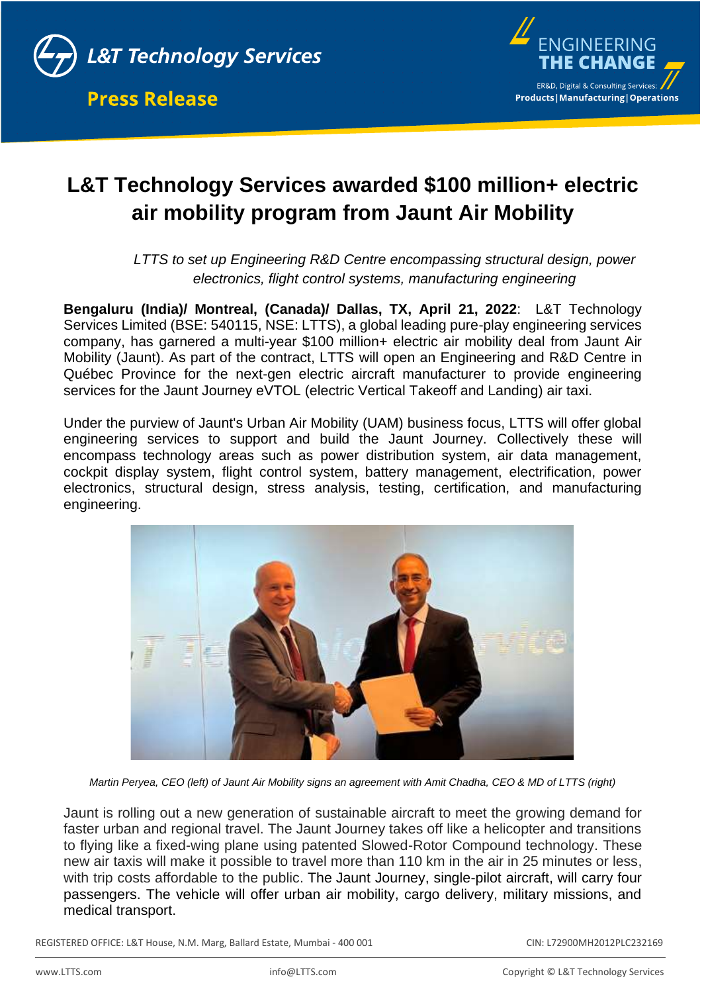



# **L&T Technology Services awarded \$100 million+ electric air mobility program from Jaunt Air Mobility**

*LTTS to set up Engineering R&D Centre encompassing structural design, power electronics, flight control systems, manufacturing engineering*

**Bengaluru (India)/ Montreal, (Canada)/ Dallas, TX, April 21, 2022**: L&T Technology Services Limited (BSE: 540115, NSE: LTTS), a global leading pure-play engineering services company, has garnered a multi-year \$100 million+ electric air mobility deal from Jaunt Air Mobility (Jaunt). As part of the contract, LTTS will open an Engineering and R&D Centre in Québec Province for the next-gen electric aircraft manufacturer to provide engineering services for the Jaunt Journey eVTOL (electric Vertical Takeoff and Landing) air taxi.

Under the purview of Jaunt's Urban Air Mobility (UAM) business focus, LTTS will offer global engineering services to support and build the Jaunt Journey. Collectively these will encompass technology areas such as power distribution system, air data management, cockpit display system, flight control system, battery management, electrification, power electronics, structural design, stress analysis, testing, certification, and manufacturing engineering.



*Martin Peryea, CEO (left) of Jaunt Air Mobility signs an agreement with Amit Chadha, CEO & MD of LTTS (right)*

Jaunt is rolling out a new generation of sustainable aircraft to meet the growing demand for faster urban and regional travel. The Jaunt Journey takes off like a helicopter and transitions to flying like a fixed-wing plane using patented Slowed-Rotor Compound technology. These new air taxis will make it possible to travel more than 110 km in the air in 25 minutes or less, with trip costs affordable to the public. The Jaunt Journey, single-pilot aircraft, will carry four passengers. The vehicle will offer urban air mobility, cargo delivery, military missions, and medical transport.

REGISTERED OFFICE: L&T House, N.M. Marg, Ballard Estate, Mumbai - 400 001 CIN: CIN: L72900MH2012PLC232169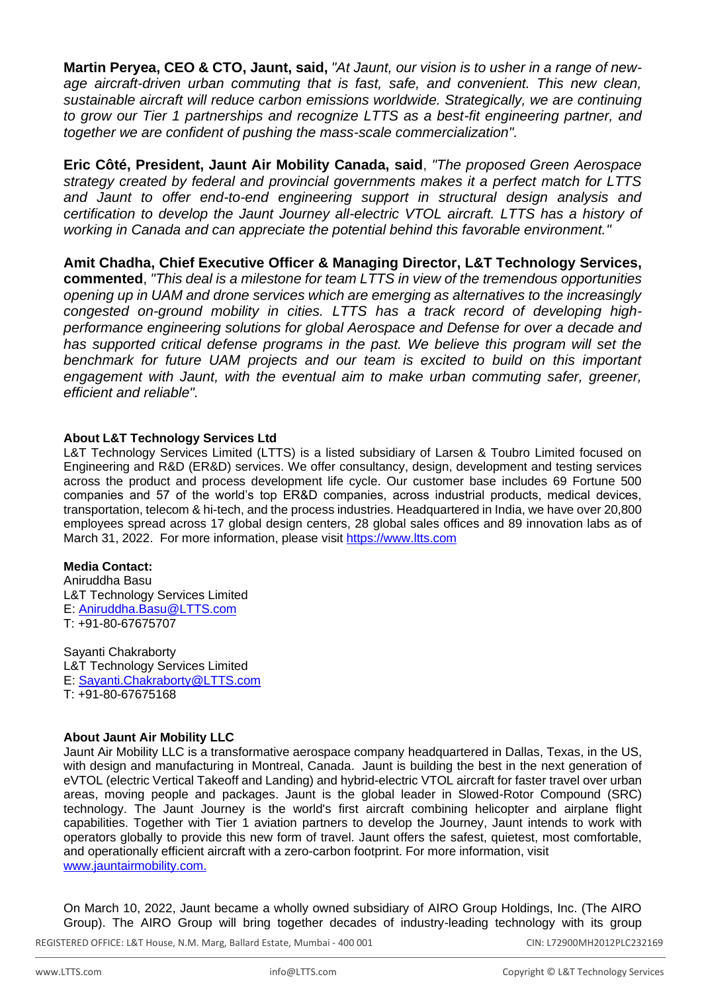**Martin Peryea, CEO & CTO, Jaunt, said,** *"At Jaunt, our vision is to usher in a range of newage aircraft-driven urban commuting that is fast, safe, and convenient. This new clean, sustainable aircraft will reduce carbon emissions worldwide. Strategically, we are continuing to grow our Tier 1 partnerships and recognize LTTS as a best-fit engineering partner, and together we are confident of pushing the mass-scale commercialization".*

**Eric Côté, President, Jaunt Air Mobility Canada, said**, *"The proposed Green Aerospace strategy created by federal and provincial governments makes it a perfect match for LTTS and Jaunt to offer end-to-end engineering support in structural design analysis and certification to develop the Jaunt Journey all-electric VTOL aircraft. LTTS has a history of working in Canada and can appreciate the potential behind this favorable environment."*

**Amit Chadha, Chief Executive Officer & Managing Director, L&T Technology Services, commented**, *"This deal is a milestone for team LTTS in view of the tremendous opportunities opening up in UAM and drone services which are emerging as alternatives to the increasingly congested on-ground mobility in cities. LTTS has a track record of developing highperformance engineering solutions for global Aerospace and Defense for over a decade and*  has supported critical defense programs in the past. We believe this program will set the *benchmark for future UAM projects and our team is excited to build on this important engagement with Jaunt, with the eventual aim to make urban commuting safer, greener, efficient and reliable".* 

## **About L&T Technology Services Ltd**

L&T Technology Services Limited (LTTS) is a listed subsidiary of Larsen & Toubro Limited focused on Engineering and R&D (ER&D) services. We offer consultancy, design, development and testing services across the product and process development life cycle. Our customer base includes 69 Fortune 500 companies and 57 of the world's top ER&D companies, across industrial products, medical devices, transportation, telecom & hi-tech, and the process industries. Headquartered in India, we have over 20,800 employees spread across 17 global design centers, 28 global sales offices and 89 innovation labs as of March 31, 2022. For more information, please visit [https://www.ltts.com](https://www.ltts.com/)

### **Media Contact:**

Aniruddha Basu L&T Technology Services Limited E: [Aniruddha.Basu@LTTS.com](mailto:Aniruddha.Basu@LTTS.com) T: +91-80-67675707

Sayanti Chakraborty L&T Technology Services Limited E: [Sayanti.Chakraborty@LTTS.com](mailto:Sayanti.Chakraborty@LTTS.com) T: +91-80-67675168

#### **About Jaunt Air Mobility LLC**

Jaunt Air Mobility LLC is a transformative aerospace company headquartered in Dallas, Texas, in the US, with design and manufacturing in Montreal, Canada. Jaunt is building the best in the next generation of eVTOL (electric Vertical Takeoff and Landing) and hybrid-electric VTOL aircraft for faster travel over urban areas, moving people and packages. Jaunt is the global leader in Slowed-Rotor Compound (SRC) technology. The Jaunt Journey is the world's first aircraft combining helicopter and airplane flight capabilities. Together with Tier 1 aviation partners to develop the Journey, Jaunt intends to work with operators globally to provide this new form of travel. Jaunt offers the safest, quietest, most comfortable, and operationally efficient aircraft with a zero-carbon footprint. For more information, visit [www.jauntairmobility.com.](http://www.jauntairmobility.com/)

On March 10, 2022, Jaunt became a wholly owned subsidiary of AIRO Group Holdings, Inc. (The AIRO Group). The AIRO Group will bring together decades of industry-leading technology with its group

REGISTERED OFFICE: L&T House, N.M. Marg, Ballard Estate, Mumbai - 400 001 CIN: CIN: L72900MH2012PLC232169